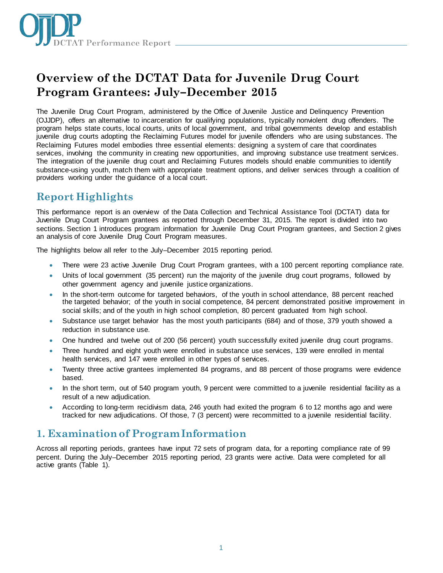

# **Overview of the DCTAT Data for Juvenile Drug Court Program Grantees: July–December 2015**

The Juvenile Drug Court Program, administered by the Office of Juvenile Justice and Delinquency Prevention (OJJDP), offers an alternative to incarceration for qualifying populations, typically nonviolent drug offenders. The program helps state courts, local courts, units of local government, and tribal governments develop and establish juvenile drug courts adopting the Reclaiming Futures model for juvenile offenders who are using substances. The Reclaiming Futures model embodies three essential elements: designing a system of care that coordinates services, involving the community in creating new opportunities, and improving substance use treatment services. The integration of the juvenile drug court and Reclaiming Futures models should enable communities to identify substance-using youth, match them with appropriate treatment options, and deliver services through a coalition of providers working under the guidance of a local court.

# **Report Highlights**

This performance report is an overview of the Data Collection and Technical Assistance Tool (DCTAT) data for Juvenile Drug Court Program grantees as reported through December 31, 2015. The report is divided into two sections. Section 1 introduces program information for Juvenile Drug Court Program grantees, and Section 2 gives an analysis of core Juvenile Drug Court Program measures.

The highlights below all refer to the July–December 2015 reporting period.

- There were 23 active Juvenile Drug Court Program grantees, with a 100 percent reporting compliance rate.
- Units of local government (35 percent) run the majority of the juvenile drug court programs, followed by other government agency and juvenile justice organizations.
- In the short-term outcome for targeted behaviors, of the youth in school attendance, 88 percent reached the targeted behavior; of the youth in social competence, 84 percent demonstrated positive improvement in social skills; and of the youth in high school completion, 80 percent graduated from high school.
- Substance use target behavior has the most youth participants (684) and of those, 379 youth showed a reduction in substance use.
- One hundred and twelve out of 200 (56 percent) youth successfully exited juvenile drug court programs.
- Three hundred and eight youth were enrolled in substance use services, 139 were enrolled in mental health services, and 147 were enrolled in other types of services.
- Twenty three active grantees implemented 84 programs, and 88 percent of those programs were evidence based.
- In the short term, out of 540 program youth, 9 percent were committed to a juvenile residential facility as a result of a new adjudication.
- According to long-term recidivism data, 246 youth had exited the program 6 to 12 months ago and were tracked for new adjudications. Of those, 7 (3 percent) were recommitted to a juvenile residential facility.

# **1. Examination of Program Information**

Across all reporting periods, grantees have input 72 sets of program data, for a reporting compliance rate of 99 percent. During the July–December 2015 reporting period, 23 grants were active. Data were completed for all active grants (Table 1).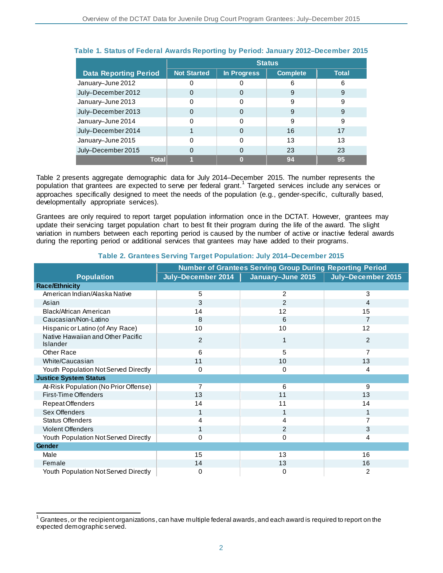|                              | <b>Status</b>      |             |                 |              |
|------------------------------|--------------------|-------------|-----------------|--------------|
| <b>Data Reporting Period</b> | <b>Not Started</b> | In Progress | <b>Complete</b> | <b>Total</b> |
| January-June 2012            |                    |             | 6               | 6            |
| July-December 2012           |                    |             | 9               | 9            |
| January-June 2013            |                    |             | 9               | 9            |
| July-December 2013           |                    |             | 9               | 9            |
| January-June 2014            |                    | O           | 9               | 9            |
| July-December 2014           |                    |             | 16              | 17           |
| January-June 2015            |                    | 0           | 13              | 13           |
| July-December 2015           |                    |             | 23              | 23           |
| Total                        |                    |             | 94              | 95           |

## **Table 1. Status of Federal Awards Reporting by Period: January 2012–December 2015**

Table 2 presents aggregate demographic data for July 2014–December 2015. The number represents the population that grantees are expected to serve per federal grant.<sup>1</sup> Targeted services include any services or approaches specifically designed to meet the needs of the population (e.g., gender-specific, culturally based, developmentally appropriate services).

Grantees are only required to report target population information once in the DCTAT. However, grantees may update their servicing target population chart to best fit their program during the life of the award. The slight variation in numbers between each reporting period is caused by the number of active or inactive federal awards during the reporting period or additional services that grantees may have added to their programs.

|                                                      | <b>Number of Grantees Serving Group During Reporting Period</b> |                   |                    |  |  |
|------------------------------------------------------|-----------------------------------------------------------------|-------------------|--------------------|--|--|
| <b>Population</b>                                    | July-December 2014                                              | January-June 2015 | July-December 2015 |  |  |
| <b>Race/Ethnicity</b>                                |                                                                 |                   |                    |  |  |
| American Indian/Alaska Native                        | 5                                                               | $\overline{2}$    | 3                  |  |  |
| Asian                                                | 3                                                               | $\overline{2}$    | 4                  |  |  |
| Black/African American                               | 14                                                              | 12                | 15                 |  |  |
| Caucasian/Non-Latino                                 | 8                                                               | 6                 | 7                  |  |  |
| Hispanic or Latino (of Any Race)                     | 10                                                              | 10                | 12                 |  |  |
| Native Hawaiian and Other Pacific<br><b>Islander</b> | $\overline{2}$                                                  |                   | 2                  |  |  |
| <b>Other Race</b>                                    | 6                                                               | 5                 | 7                  |  |  |
| White/Caucasian                                      | 11                                                              | 10                | 13                 |  |  |
| Youth Population Not Served Directly                 | 0                                                               | 0                 | 4                  |  |  |
| <b>Justice System Status</b>                         |                                                                 |                   |                    |  |  |
| At-Risk Population (No Prior Offense)                | 7                                                               | 6                 | 9                  |  |  |
| First-Time Offenders                                 | 13                                                              | 11                | 13                 |  |  |
| Repeat Offenders                                     | 14                                                              | 11                | 14                 |  |  |
| Sex Offenders                                        |                                                                 |                   | 1                  |  |  |
| <b>Status Offenders</b>                              | 4                                                               | 4                 |                    |  |  |
| <b>Violent Offenders</b>                             |                                                                 | $\overline{2}$    | 3                  |  |  |
| Youth Population Not Served Directly                 | 0                                                               | 0                 | 4                  |  |  |
| Gender                                               |                                                                 |                   |                    |  |  |
| Male                                                 | 15                                                              | 13                | 16                 |  |  |
| Female                                               | 14                                                              | 13                | 16                 |  |  |
| Youth Population Not Served Directly                 | 0                                                               | 0                 | 2                  |  |  |

#### **Table 2. Grantees Serving Target Population: July 2014–December 2015**

<sup>1</sup> Grantees, or the recipient organizations, can have multiple federal awards, and each award is required to report on the expected demographic served.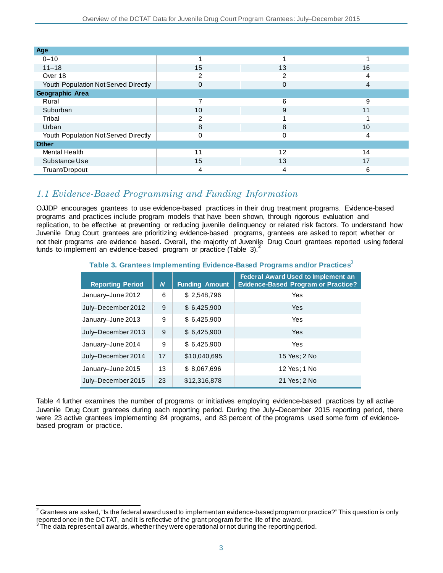| Age                                  |    |    |    |
|--------------------------------------|----|----|----|
| $0 - 10$                             |    |    |    |
| $11 - 18$                            | 15 | 13 | 16 |
| Over 18                              | っ  | 2  | 4  |
| Youth Population Not Served Directly | 0  | 0  | 4  |
| Geographic Area                      |    |    |    |
| Rural                                |    | 6  | 9  |
| Suburban                             | 10 | 9  | 11 |
| Tribal                               | 2  |    |    |
| Urban                                | 8  | 8  | 10 |
| Youth Population Not Served Directly | 0  | 0  | 4  |
| <b>Other</b>                         |    |    |    |
| <b>Mental Health</b>                 | 11 | 12 | 14 |
| Substance Use                        | 15 | 13 | 17 |
| Truant/Dropout                       | 4  | 4  | 6  |

# *1.1 Evidence-Based Programming and Funding Information*

OJJDP encourages grantees to use evidence-based practices in their drug treatment programs. Evidence-based programs and practices include program models that have been shown, through rigorous evaluation and replication, to be effective at preventing or reducing juvenile delinquency or related risk factors. To understand how Juvenile Drug Court grantees are prioritizing evidence-based programs, grantees are asked to report whether or not their programs are evidence based. Overall, the majority of Juvenile Drug Court grantees reported using federal funds to implement an evidence-based program or practice (Table 3).<sup>2</sup>

## **Table 3. Grantees Implementing Evidence-Based Programs and/or Practices**<sup>3</sup>

| <b>Reporting Period</b> | N. | <b>Funding Amount</b> | <b>Federal Award Used to Implement an</b><br><b>Evidence-Based Program or Practice?</b> |
|-------------------------|----|-----------------------|-----------------------------------------------------------------------------------------|
| January-June 2012       | 6  | \$2,548,796           | Yes                                                                                     |
| July-December 2012      | 9  | \$6,425,900           | Yes                                                                                     |
| January-June 2013       | 9  | \$6,425,900           | Yes                                                                                     |
| July-December 2013      | 9  | \$6,425,900           | Yes                                                                                     |
| January-June 2014       | 9  | \$6,425,900           | Yes                                                                                     |
| July-December 2014      | 17 | \$10,040,695          | 15 Yes; 2 No                                                                            |
| January-June 2015       | 13 | \$8,067,696           | 12 Yes; 1 No                                                                            |
| July-December 2015      | 23 | \$12,316,878          | 21 Yes; 2 No                                                                            |

Table 4 further examines the number of programs or initiatives employing evidence-based practices by all active Juvenile Drug Court grantees during each reporting period. During the July–December 2015 reporting period, there were 23 active grantees implementing 84 programs, and 83 percent of the programs used some form of evidencebased program or practice.

l  $^{\rm 2}$  Grantees are asked, "Is the federal award used to implement an evidence-based program or practice?" This question is only reported once in the DCTAT, and it is reflective of the grant program for the life of the award.

The data represent all awards, whether they were operational or not during the reporting period.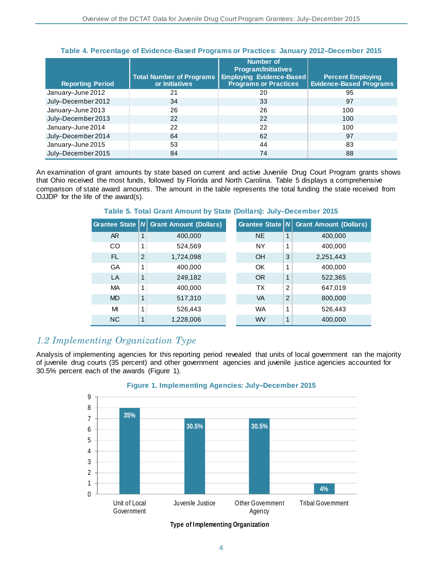| <b>Reporting Period</b> | <b>Total Number of Programs</b><br>or Initiatives | Number of<br><b>Program/Initiatives</b><br>Employing Evidence-Based<br><b>Programs or Practices</b> | <b>Percent Employing</b><br><b>Evidence-Based Programs</b> |
|-------------------------|---------------------------------------------------|-----------------------------------------------------------------------------------------------------|------------------------------------------------------------|
| January-June 2012       | 21                                                | 20                                                                                                  | 95                                                         |
| July-December 2012      | 34                                                | 33                                                                                                  | 97                                                         |
| January-June 2013       | 26                                                | 26                                                                                                  | 100                                                        |
| July-December 2013      | 22                                                | 22                                                                                                  | 100                                                        |
| January-June 2014       | 22                                                | 22                                                                                                  | 100                                                        |
| July-December 2014      | 64                                                | 62                                                                                                  | 97                                                         |
| January-June 2015       | 53                                                | 44                                                                                                  | 83                                                         |
| July-December 2015      | 84                                                | 74                                                                                                  | 88                                                         |

### **Table 4. Percentage of Evidence-Based Programs or Practices: January 2012–December 2015**

An examination of grant amounts by state based on current and active Juvenile Drug Court Program grants shows that Ohio received the most funds, followed by Florida and North Carolina. Table 5 displays a comprehensive comparison of state award amounts. The amount in the table represents the total funding the state received from OJJDP for the life of the award(s).

|           |                | Grantee State   N Grant Amount (Dollars) |           |   | Grantee State $ N $ Grant Amount (Dollars) |
|-----------|----------------|------------------------------------------|-----------|---|--------------------------------------------|
| AR        | 1              | 400,000                                  | <b>NE</b> | 1 | 400,000                                    |
| <b>CO</b> | 1              | 524,569                                  | <b>NY</b> | 1 | 400,000                                    |
| FL.       | $\overline{2}$ | 1,724,098                                | <b>OH</b> | 3 | 2,251,443                                  |
| GA        | 1              | 400,000                                  | OK        | 1 | 400,000                                    |
| LA        | 1              | 249,182                                  | <b>OR</b> | 1 | 522,365                                    |
| МA        | 1              | 400,000                                  | ТX        | 2 | 647,019                                    |
| <b>MD</b> | 1              | 517,310                                  | VA        | 2 | 800,000                                    |
| MI        | 1              | 526.443                                  | <b>WA</b> | 1 | 526,443                                    |
| <b>NC</b> | 1              | 1,228,006                                | <b>WV</b> | 1 | 400,000                                    |

## **Table 5. Total Grant Amount by State (Dollars): July–December 2015**

# *1.2 Implementing Organization Type*

Analysis of implementing agencies for this reporting period revealed that units of local government ran the majority of juvenile drug courts (35 percent) and other government agencies and juvenile justice agencies accounted for 30.5% percent each of the awards (Figure 1).



# **Figure 1. Implementing Agencies: July–December 2015**

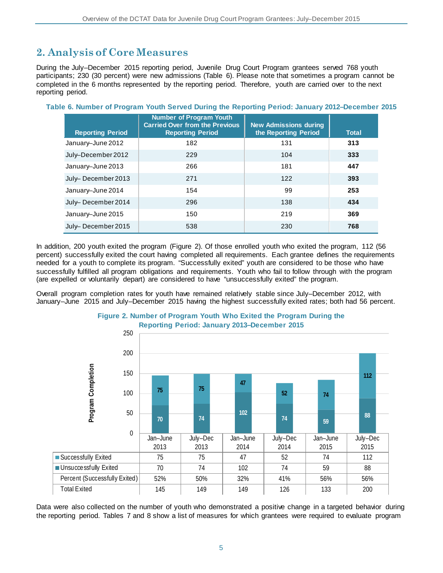# **2. Analysis of Core Measures**

During the July–December 2015 reporting period, Juvenile Drug Court Program grantees served 768 youth participants; 230 (30 percent) were new admissions (Table 6). Please note that sometimes a program cannot be completed in the 6 months represented by the reporting period. Therefore, youth are carried over to the next reporting period.

| <b>Reporting Period</b> | <b>Number of Program Youth</b><br><b>Carried Over from the Previous</b><br><b>Reporting Period</b> | <b>New Admissions during</b><br>the Reporting Period | <b>Total</b> |
|-------------------------|----------------------------------------------------------------------------------------------------|------------------------------------------------------|--------------|
| January-June 2012       | 182                                                                                                | 131                                                  | 313          |
| July-December 2012      | 229                                                                                                | 104                                                  | 333          |
| January-June 2013       | 266                                                                                                | 181                                                  | 447          |
| July-December 2013      | 271                                                                                                | 122                                                  | 393          |
| January-June 2014       | 154                                                                                                | 99                                                   | 253          |
| July-December 2014      | 296                                                                                                | 138                                                  | 434          |
| January-June 2015       | 150                                                                                                | 219                                                  | 369          |
| July-December 2015      | 538                                                                                                | 230                                                  | 768          |

### **Table 6. Number of Program Youth Served During the Reporting Period: January 2012–December 2015**

In addition, 200 youth exited the program (Figure 2). Of those enrolled youth who exited the program, 112 (56 percent) successfully exited the court having completed all requirements. Each grantee defines the requirements needed for a youth to complete its program. "Successfully exited" youth are considered to be those who have successfully fulfilled all program obligations and requirements. Youth who fail to follow through with the program (are expelled or voluntarily depart) are considered to have "unsuccessfully exited" the program.

Overall program completion rates for youth have remained relatively stable since July–December 2012, with January–June 2015 and July–December 2015 having the highest successfully exited rates; both had 56 percent.



# **Figure 2. Number of Program Youth Who Exited the Program During the**

Data were also collected on the number of youth who demonstrated a positive change in a targeted behavior during the reporting period. Tables 7 and 8 show a list of measures for which grantees were required to evaluate program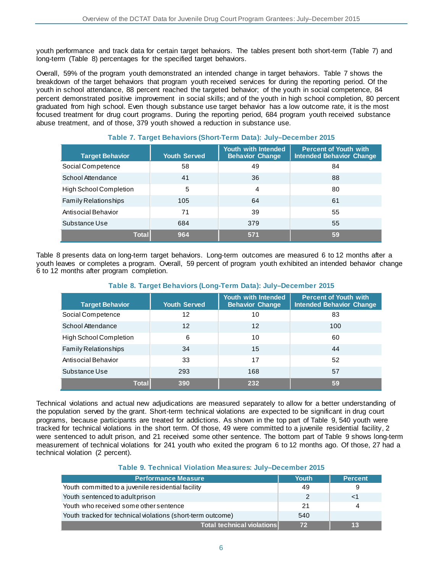youth performance and track data for certain target behaviors. The tables present both short-term (Table 7) and long-term (Table 8) percentages for the specified target behaviors.

Overall, 59% of the program youth demonstrated an intended change in target behaviors. Table 7 shows the breakdown of the target behaviors that program youth received services for during the reporting period. Of the youth in school attendance, 88 percent reached the targeted behavior; of the youth in social competence, 84 percent demonstrated positive improvement in social skills; and of the youth in high school completion, 80 percent graduated from high school. Even though substance use target behavior has a low outcome rate, it is the most focused treatment for drug court programs. During the reporting period, 684 program youth received substance abuse treatment, and of those, 379 youth showed a reduction in substance use.

| <b>Target Behavior</b>        | <b>Youth Served</b> | Youth with Intended<br><b>Behavior Change</b> | <b>Percent of Youth with</b><br><b>Intended Behavior Change</b> |
|-------------------------------|---------------------|-----------------------------------------------|-----------------------------------------------------------------|
| Social Competence             | 58                  | 49                                            | 84                                                              |
| School Attendance             | 41                  | 36                                            | 88                                                              |
| <b>High School Completion</b> | 5                   | 4                                             | 80                                                              |
| <b>Family Relationships</b>   | 105                 | 64                                            | 61                                                              |
| Antisocial Behavior           | 71                  | 39                                            | 55                                                              |
| Substance Use                 | 684                 | 379                                           | 55                                                              |
| <b>Total</b>                  | 964                 | 571                                           | 59                                                              |

## **Table 7. Target Behaviors (Short-Term Data): July–December 2015**

Table 8 presents data on long-term target behaviors. Long-term outcomes are measured 6 to 12 months after a youth leaves or completes a program. Overall, 59 percent of program youth exhibited an intended behavior change 6 to 12 months after program completion.

| <b>Target Behavior</b>        | <b>Youth Served</b> | Youth with Intended<br><b>Behavior Change</b> | <b>Percent of Youth with</b><br><b>Intended Behavior Change</b> |
|-------------------------------|---------------------|-----------------------------------------------|-----------------------------------------------------------------|
| Social Competence             | 12                  | 10                                            | 83                                                              |
| School Attendance             | 12                  | 12                                            | 100                                                             |
| <b>High School Completion</b> | 6                   | 10                                            | 60                                                              |
| <b>Family Relationships</b>   | 34                  | 15                                            | 44                                                              |
| Antisocial Behavior           | 33                  | 17                                            | 52                                                              |
| Substance Use                 | 293                 | 168                                           | 57                                                              |
| Total                         | 390                 | 232                                           | 59                                                              |

#### **Table 8. Target Behaviors (Long-Term Data): July–December 2015**

Technical violations and actual new adjudications are measured separately to allow for a better understanding of the population served by the grant. Short-term technical violations are expected to be significant in drug court programs, because participants are treated for addictions. As shown in the top part of Table 9, 540 youth were tracked for technical violations in the short term. Of those, 49 were committed to a juvenile residential facility, 2 were sentenced to adult prison, and 21 received some other sentence. The bottom part of Table 9 shows long-term measurement of technical violations for 241 youth who exited the program 6 to 12 months ago. Of those, 27 had a technical violation (2 percent).

### **Table 9. Technical Violation Measures: July–December 2015**

| <b>Performance Measure</b>                                  | <b>Youth</b> | <b>Percent</b> |
|-------------------------------------------------------------|--------------|----------------|
| Youth committed to a juvenile residential facility          | 49           |                |
| Youth sentenced to adult prison                             | 2            |                |
| Youth who received some other sentence                      | 21           | 4              |
| Youth tracked for technical violations (short-term outcome) | 540          |                |
| <b>Total technical violations</b>                           | 72           | 13             |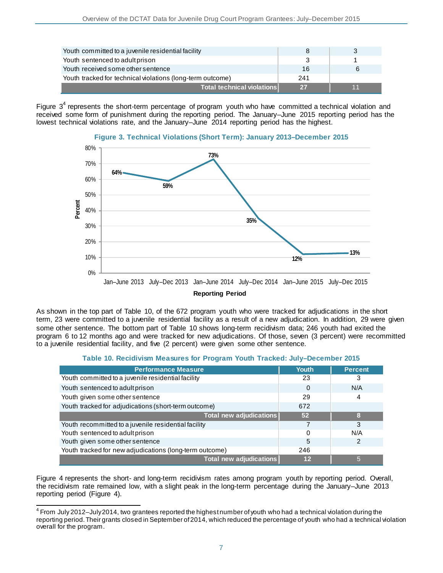| Youth committed to a juvenile residential facility         |     |    |
|------------------------------------------------------------|-----|----|
| Youth sentenced to adult prison                            |     |    |
| Youth received some other sentence                         | 16  |    |
| Youth tracked for technical violations (long-term outcome) | 241 |    |
| <b>Total technical violations</b>                          | 27  | 11 |

Figure  $3<sup>4</sup>$  represents the short-term percentage of program youth who have committed a technical violation and received some form of punishment during the reporting period. The January–June 2015 reporting period has the lowest technical violations rate, and the January–June 2014 reporting period has the highest.



As shown in the top part of Table 10, of the 672 program youth who were tracked for adjudications in the short term, 23 were committed to a juvenile residential facility as a result of a new adjudication. In addition, 29 were given some other sentence. The bottom part of Table 10 shows long-term recidivism data; 246 youth had exited the program 6 to 12 months ago and were tracked for new adjudications. Of those, seven (3 percent) were recommitted to a juvenile residential facility, and five (2 percent) were given some other sentence.

| Table 10. Recidivism Measures for Program Youth Tracked: July–December 2015 |  |
|-----------------------------------------------------------------------------|--|
|-----------------------------------------------------------------------------|--|

| <b>Performance Measure</b>                              | Youth | <b>Percent</b> |
|---------------------------------------------------------|-------|----------------|
| Youth committed to a juvenile residential facility      | 23    |                |
| Youth sentenced to adult prison                         | 0     | N/A            |
| Youth given some other sentence                         | 29    | 4              |
| Youth tracked for adjudications (short-term outcome)    | 672   |                |
| Total new adjudications                                 | 52    |                |
| Youth recommitted to a juvenile residential facility    |       | 3              |
| Youth sentenced to adult prison                         | 0     | N/A            |
| Youth given some other sentence                         | 5     |                |
| Youth tracked for new adjudications (long-term outcome) | 246   |                |
| Total new adjudications                                 | 12    | 5              |

Figure 4 represents the short- and long-term recidivism rates among program youth by reporting period. Overall, the recidivism rate remained low, with a slight peak in the long-term percentage during the January–June 2013 reporting period (Figure 4).

j  $^4$  From July 2012–July 2014, two grantees reported the highest number of youth who had a technical violation during the reporting period. Their grants closed in September of 2014, which reduced the percentage of youth who had a technical violation overall for the program.